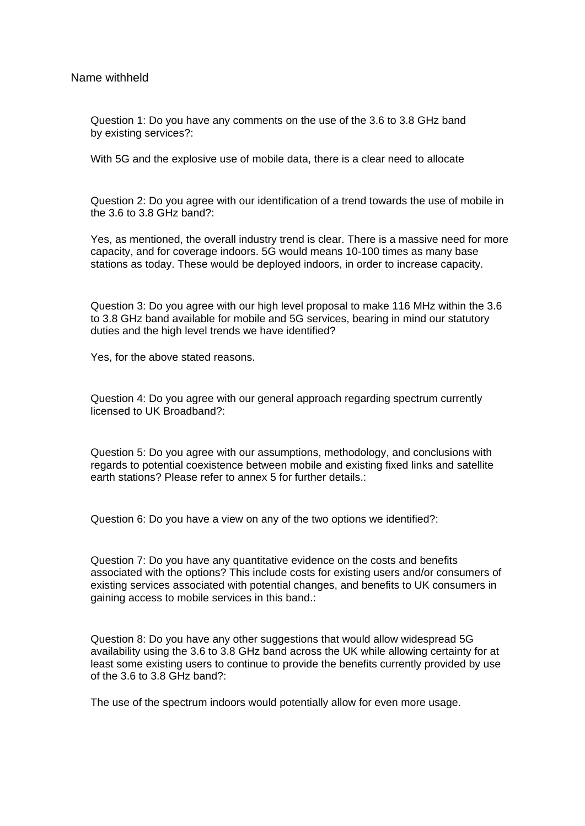Name withheld

Question 1: Do you have any comments on the use of the 3.6 to 3.8 GHz band by existing services?:

With 5G and the explosive use of mobile data, there is a clear need to allocate

Question 2: Do you agree with our identification of a trend towards the use of mobile in the 3.6 to 3.8 GHz band?:

Yes, as mentioned, the overall industry trend is clear. There is a massive need for more capacity, and for coverage indoors. 5G would means 10-100 times as many base stations as today. These would be deployed indoors, in order to increase capacity.

Question 3: Do you agree with our high level proposal to make 116 MHz within the 3.6 to 3.8 GHz band available for mobile and 5G services, bearing in mind our statutory duties and the high level trends we have identified?

Yes, for the above stated reasons.

Question 4: Do you agree with our general approach regarding spectrum currently licensed to UK Broadband?:

Question 5: Do you agree with our assumptions, methodology, and conclusions with regards to potential coexistence between mobile and existing fixed links and satellite earth stations? Please refer to annex 5 for further details.

Question 6: Do you have a view on any of the two options we identified?:

Question 7: Do you have any quantitative evidence on the costs and benefits associated with the options? This include costs for existing users and/or consumers of existing services associated with potential changes, and benefits to UK consumers in gaining access to mobile services in this band.:

Question 8: Do you have any other suggestions that would allow widespread 5G availability using the 3.6 to 3.8 GHz band across the UK while allowing certainty for at least some existing users to continue to provide the benefits currently provided by use of the 3.6 to 3.8 GHz band?:

The use of the spectrum indoors would potentially allow for even more usage.